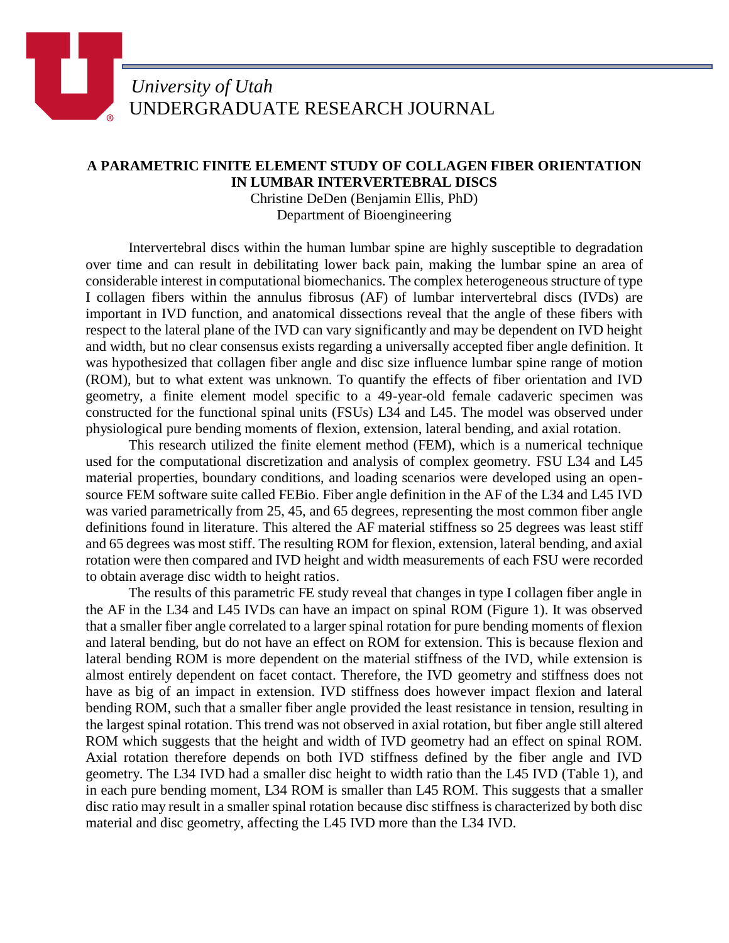## *University of Utah* UNDERGRADUATE RESEARCH JOURNAL

## **A PARAMETRIC FINITE ELEMENT STUDY OF COLLAGEN FIBER ORIENTATION IN LUMBAR INTERVERTEBRAL DISCS**

Christine DeDen (Benjamin Ellis, PhD) Department of Bioengineering

Intervertebral discs within the human lumbar spine are highly susceptible to degradation over time and can result in debilitating lower back pain, making the lumbar spine an area of considerable interest in computational biomechanics. The complex heterogeneous structure of type I collagen fibers within the annulus fibrosus (AF) of lumbar intervertebral discs (IVDs) are important in IVD function, and anatomical dissections reveal that the angle of these fibers with respect to the lateral plane of the IVD can vary significantly and may be dependent on IVD height and width, but no clear consensus exists regarding a universally accepted fiber angle definition. It was hypothesized that collagen fiber angle and disc size influence lumbar spine range of motion (ROM), but to what extent was unknown. To quantify the effects of fiber orientation and IVD geometry, a finite element model specific to a 49-year-old female cadaveric specimen was constructed for the functional spinal units (FSUs) L34 and L45. The model was observed under physiological pure bending moments of flexion, extension, lateral bending, and axial rotation.

This research utilized the finite element method (FEM), which is a numerical technique used for the computational discretization and analysis of complex geometry. FSU L34 and L45 material properties, boundary conditions, and loading scenarios were developed using an opensource FEM software suite called FEBio. Fiber angle definition in the AF of the L34 and L45 IVD was varied parametrically from 25, 45, and 65 degrees, representing the most common fiber angle definitions found in literature. This altered the AF material stiffness so 25 degrees was least stiff and 65 degrees was most stiff. The resulting ROM for flexion, extension, lateral bending, and axial rotation were then compared and IVD height and width measurements of each FSU were recorded to obtain average disc width to height ratios.

The results of this parametric FE study reveal that changes in type I collagen fiber angle in the AF in the L34 and L45 IVDs can have an impact on spinal ROM (Figure 1). It was observed that a smaller fiber angle correlated to a larger spinal rotation for pure bending moments of flexion and lateral bending, but do not have an effect on ROM for extension. This is because flexion and lateral bending ROM is more dependent on the material stiffness of the IVD, while extension is almost entirely dependent on facet contact. Therefore, the IVD geometry and stiffness does not have as big of an impact in extension. IVD stiffness does however impact flexion and lateral bending ROM, such that a smaller fiber angle provided the least resistance in tension, resulting in the largest spinal rotation. This trend was not observed in axial rotation, but fiber angle still altered ROM which suggests that the height and width of IVD geometry had an effect on spinal ROM. Axial rotation therefore depends on both IVD stiffness defined by the fiber angle and IVD geometry. The L34 IVD had a smaller disc height to width ratio than the L45 IVD (Table 1), and in each pure bending moment, L34 ROM is smaller than L45 ROM. This suggests that a smaller disc ratio may result in a smaller spinal rotation because disc stiffness is characterized by both disc material and disc geometry, affecting the L45 IVD more than the L34 IVD.